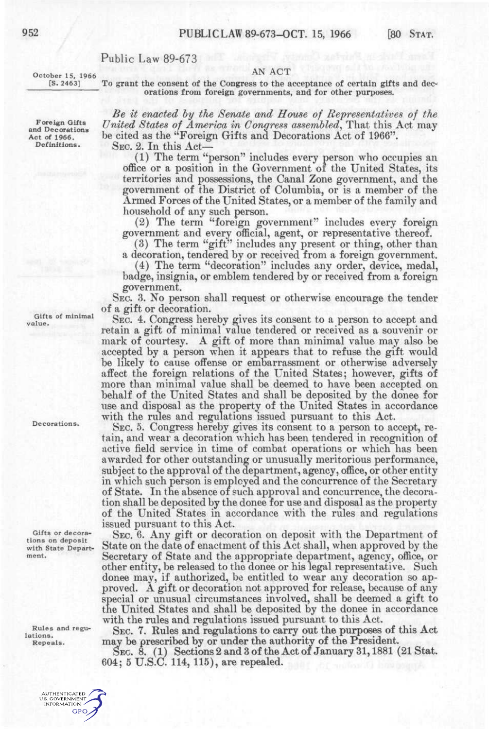## Public Law 89-673

## AN ACT

October 15, 1966 [S. 2463]

To grant the consent of the Congress to the acceptance of certain gifts and decorations from foreign governments, and for other purposes.

*Be it enacted hy the Senate cmd House of Representatives of the United States of America in Congress assembled,* That this Act may be cited as the "Foreign Gifts and Decorations Act of 1966".

SEC. 2. In this Act—

(1) The term "person" includes every person who occupies an office or a position in the Government oi the United States, its territories and possessions, the Canal Zone government, and the government of the District of Columbia, or is a member of the Armed Forces of the United States, or a member of the family and household of any such person.

(2) The term "foreign government" includes every foreign government and every official, agent, or representative thereof.

(3) The term "gift" includes any present or thing, other than a decoration, tendered by or received from a foreign government.

(4) The term "decoration" includes any order, device, medal, badge, insignia, or emblem tendered by or received from a foreign government.

SEC. 3. No person shall request or otherwise encourage the tender of a gift or decoration.

SEC. 4. Congress hereby gives its consent to a person to accept and retain a gift of minimal value tendered or received as a souvenir or mark of courtesy. A gift of more than minimal value may also be accepted by a person when it appears that to refuse the gift would be likely to cause offense or embarrassment or otherwise adversely affect the foreign relations of the United States; however, gifts of more than minimal value shall be deemed to have been accepted on behalf of the United States and shall be deposited by the donee for use and disposal as the property of the United States in accordance with the rules and regulations issued pursuant to this Act.

SEC. 5. Congress hereby gives its consent to a person to accept, retain, and wear a decoration which has been tendered in recognition of active field service in time of combat operations or which has been awarded for other outstanding or unusually meritorious performance, subject to the approval of the department, agency, office, or other entity in which such person is employed and the concurrence of the Secretary of State. In the absence of such approval and concurrence, the decoration shall be deposited by the donee for use and disposal as the property of the United States in accordance with the rules and regulations issued pursuant to this Act.

SEC. 6. Any gift or decoration on deposit with the Department of State on the date of enactment of this Act shall, when approved by the Secretary of State and the appropriate department, agency, office, or other entity, be released to the donee or his legal representative. Such donee may, if authorized, be entitled to wear any decoration so approved. A gift or decoration not approved for release, because of any special or unusual circumstances involved, shall be deemed a gift to the United States and shall be deposited by the donee in accordance with the rules and regulations issued pursuant to this Act.

SEC. 7. Rules and regulations to carry out the purposes of this Act may be prescribed by or under the authority of the President.

SEO. 8. (1) Sections 2 and 3 of the Act of January 31,1881 (21 Stat. 604; 5 U.S.C. 114, 115), are repealed.

**Foreign Gifts and Decorations Act of 1966. Definitions.** 

Gifts of minimal value.

Decorations.

Gifts or decorations on deposit with State Department.

Rules and regulations. Repeals.

> AUTHENTICATED U.S. GOVERNMENT **GPO**